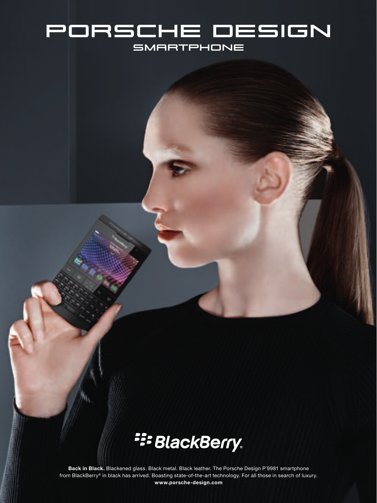## porsche design **SMARTPHONE**



**Back in Black.** Blackened glass. Black metal. Black leather. The Porsche Design P´9981 smartphone from BlackBerry® in black has arrived. Boasting state-of-the-art technology. For all those in search of luxury. **www.porsche-design.com**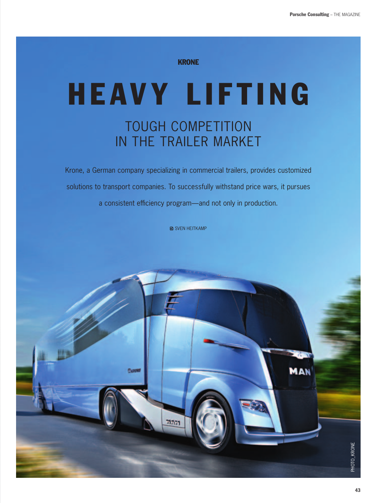#### **KRONE**

# **HEAVY LIFTING** TOUGH COMPETITION in the Trailer Market

Krone, a German company specializing in commercial trailers, provides customized solutions to transport companies. To successfully withstand price wars, it pursues a consistent efficiency program—and not only in production.

**A** SVEN HEITKAMP

*<u>Oxnone</u>* 

PHOTO\_KRONE

PHOTO\_KRONE

MAN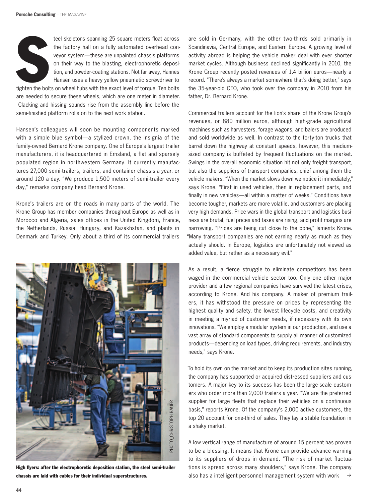

teel skeletons spanning 25 square meters float across the factory hall on a fully automated overhead conveyor system—these are unpainted chassis platforms on their way to the blasting, electrophoretic deposition, and powder-coating stations. Not far away, Hannes Hansen uses a heavy yellow pneumatic screwdriver to

tighten the bolts on wheel hubs with the exact level of torque. Ten bolts are needed to secure these wheels, which are one meter in diameter. Clacking and hissing sounds rise from the assembly line before the semi-finished platform rolls on to the next work station.

Hansen's colleagues will soon be mounting components marked with a simple blue symbol—a stylized crown, the insignia of the family-owned Bernard Krone company. One of Europe's largest trailer manufacturers, it is headquartered in Emsland, a flat and sparsely populated region in northwestern Germany. It currently manufactures 27,000 semi-trailers, trailers, and container chassis a year, or around 120 a day. "We produce 1,500 meters of semi-trailer every day," remarks company head Bernard Krone.

Krone's trailers are on the roads in many parts of the world. The Krone Group has member companies throughout Europe as well as in Morocco and Algeria, sales offices in the United Kingdom, France, the Netherlands, Russia, Hungary, and Kazakhstan, and plants in Denmark and Turkey. Only about a third of its commercial trailers



High flyers: after the electrophoretic deposition station, the steel semi-trailer chassis are laid with cables for their individual superstructures.

are sold in Germany, with the other two-thirds sold primarily in Scandinavia, Central Europe, and Eastern Europe. A growing level of activity abroad is helping the vehicle maker deal with ever shorter market cycles. Although business declined significantly in 2010, the Krone Group recently posted revenues of 1.4 billion euros—nearly a record. "There's always a market somewhere that's doing better," says the 35-year-old CEO, who took over the company in 2010 from his father, Dr. Bernard Krone.

Commercial trailers account for the lion's share of the Krone Group's revenues, or 880 million euros, although high-grade agricultural machines such as harvesters, forage wagons, and balers are produced and sold worldwide as well. In contrast to the forty-ton trucks that barrel down the highway at constant speeds, however, this mediumsized company is buffeted by frequent fluctuations on the market. Swings in the overall economic situation hit not only freight transport, but also the suppliers of transport companies, chief among them the vehicle makers. "When the market slows down we notice it immediately," says Krone. "First in used vehicles, then in replacement parts, and finally in new vehicles—all within a matter of weeks." Conditions have become tougher, markets are more volatile, and customers are placing very high demands. Price wars in the global transport and logistics business are brutal, fuel prices and taxes are rising, and profit margins are narrowing. "Prices are being cut close to the bone," laments Krone. "Many transport companies are not earning nearly as much as they actually should. In Europe, logistics are unfortunately not viewed as added value, but rather as a necessary evil."

As a result, a fierce struggle to eliminate competitors has been waged in the commercial vehicle sector too. Only one other major provider and a few regional companies have survived the latest crises, according to Krone. And his company. A maker of premium trailers, it has withstood the pressure on prices by representing the highest quality and safety, the lowest lifecycle costs, and creativity in meeting a myriad of customer needs, if necessary with its own innovations. "We employ a modular system in our production, and use a vast array of standard components to supply all manner of customized products—depending on load types, driving requirements, and industry needs," says Krone.

To hold its own on the market and to keep its production sites running, the company has supported or acquired distressed suppliers and customers. A major key to its success has been the large-scale customers who order more than 2,000 trailers a year. "We are the preferred supplier for large fleets that replace their vehicles on a continuous basis," reports Krone. Of the company's 2,000 active customers, the top 20 account for one-third of sales. They lay a stable foundation in a shaky market.

 $\rightarrow$ A low vertical range of manufacture of around 15 percent has proven to be a blessing. It means that Krone can provide advance warning to its suppliers of drops in demand. "The risk of market fluctuations is spread across many shoulders," says Krone. The company also has a intelligent personnel management system with work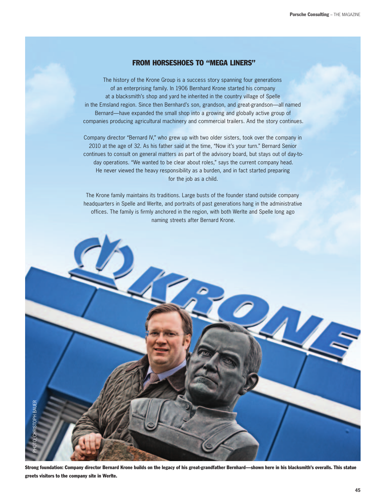### FROM HORSESHOES TO "MEGA LINERS"

The history of the Krone Group is a success story spanning four generations of an enterprising family. In 1906 Bernhard Krone started his company at a blacksmith's shop and yard he inherited in the country village of Spelle in the Emsland region. Since then Bernhard's son, grandson, and great-grandson—all named Bernard—have expanded the small shop into a growing and globally active group of companies producing agricultural machinery and commercial trailers. And the story continues.

Company director "Bernard IV," who grew up with two older sisters, took over the company in 2010 at the age of 32. As his father said at the time, "Now it's your turn." Bernard Senior continues to consult on general matters as part of the advisory board, but stays out of day-today operations. "We wanted to be clear about roles," says the current company head. He never viewed the heavy responsibility as a burden, and in fact started preparing for the job as a child.

The Krone family maintains its traditions. Large busts of the founder stand outside company headquarters in Spelle and Werlte, and portraits of past generations hang in the administrative offices. The family is firmly anchored in the region, with both Werlte and Spelle long ago naming streets after Bernard Krone.



Strong foundation: Company director Bernard Krone builds on the legacy of his great-grandfather Bernhard—shown here in his blacksmith's overalls. This statue greets visitors to the company site in Werlte.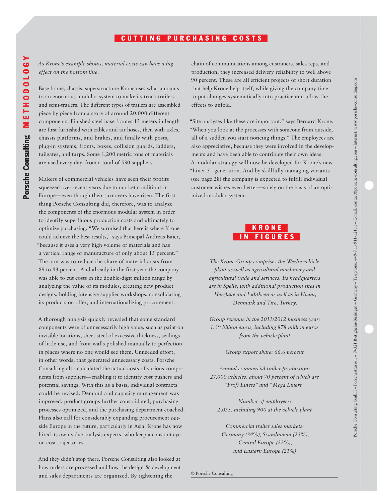### CUTTING PURCHASING COSTS

*As Krone's example shows, material costs can have a big effect on the bottom line.*

Base frame, chassis, superstructure: Krone uses what amounts to an enormous modular system to make its truck trailers and semi-trailers. The different types of trailers are assembled piece by piece from a store of around 20,000 different components. Finished steel base frames 13 meters in length are first furnished with cables and air hoses, then with axles, chassis platforms, and brakes, and finally with posts, plug-in systems, fronts, boxes, collision guards, ladders, tailgates, and tarps. Some 1,200 metric tons of materials are used every day, from a total of 530 suppliers.

Makers of commercial vehicles have seen their profits squeezed over recent years due to market conditions in Europe—even though their turnovers have risen. The first thing Porsche Consulting did, therefore, was to analyze the components of the enormous modular system in order to identify superfluous production costs and ultimately to optimize purchasing. "We surmised that here is where Krone could achieve the best results," says Principal Andreas Baier, "because it uses a very high volume of materials and has a vertical range of manufacture of only about 15 percent." The aim was to reduce the share of material costs from 89 to 83 percent. And already in the first year the company was able to cut costs in the double-digit million range by analyzing the value of its modules, creating new product designs, holding intensive supplier workshops, consolidating its products on offer, and internationalizing procurement.

A thorough analysis quickly revealed that some standard components were of unnecessarily high value, such as paint on invisible locations, sheet steel of excessive thickness, sealings of little use, and front walls polished manually to perfection in places where no one would see them. Unneeded effort, in other words, that generated unnecessary costs. Porsche Consulting also calculated the actual costs of various components from suppliers—enabling it to identify cost pushers and potential savings. With this as a basis, individual contracts could be revised. Demand and capacity management was improved, product groups further consolidated, purchasing processes optimized, and the purchasing department coached. Plans also call for considerably expanding procurement outside Europe in the future, particularly in Asia. Krone has now hired its own value analysis experts, who keep a constant eye on cost trajectories.

And they didn't stop there. Porsche Consulting also looked at how orders are processed and how the design & development and sales departments are organized. By tightening the

chain of communications among customers, sales reps, and production, they increased delivery reliability to well above 90 percent. These are all efficient projects of short duration that help Krone help itself, while giving the company time to put changes systematically into practice and allow the effects to unfold.

"Site analyses like these are important," says Bernard Krone. "When you look at the processes with someone from outside, all of a sudden you start noticing things." The employees are also appreciative, because they were involved in the developments and have been able to contribute their own ideas. A modular strategy will now be developed for Krone's new "Liner 5" generation. And by skillfully managing variants (see page 28) the company is expected to fulfill individual customer wishes even better—solely on the basis of an optimized modular system.



*The Krone Group comprises the Werlte vehicle plant as well as agricultural machinery and agricultural trade and services. Its headquarters are in Spelle, with additional production sites in Herzlake and Lübtheen as well as in Hvam, Denmark and Tire, Turkey.*

*Group revenue in the 2011/2012 business year: 1.39 billion euros, including 878 million euros from the vehicle plant*

*Group export share: 66.6 percent*

*Annual commercial trailer production: 27,000 vehicles, about 70 percent of which are "Profi Liners" and "Mega Liners"*

*Number of employees: 2,055, including 900 at the vehicle plant*

*Commercial trailer sales markets: Germany (34%), Scandinavia (23%), Central Europe (22%), and Eastern Europe (21%)*

Porsche Consulting GmbH – Porschestrasse 1 – 74321 Bietigheim-Bissingen – Germany – Telephone: +49-711-911-12111 – E-mail: contact@porsche-consulting.com – Internet: www.porsche-consulting.com

Porsche Consulting GmbH - Porschesrasse 1 - 74321 Bietigheim-Bissingen - Germany - Telephone: 449-711-91111 - E-mail: contact@porsche-consulting.com - Internet: www.porsche-consulting.com